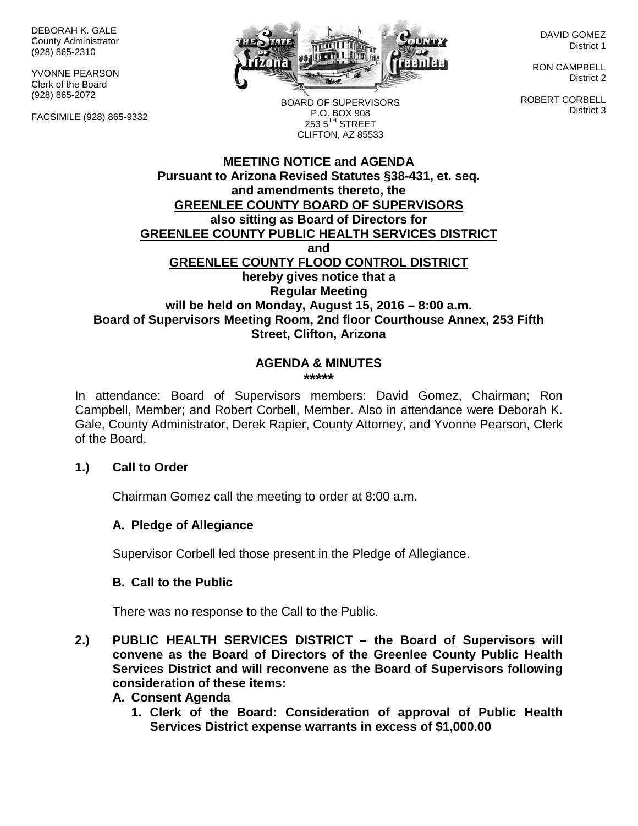DEBORAH K. GALE County Administrator (928) 865-2310

YVONNE PEARSON Clerk of the Board (928) 865-2072

FACSIMILE (928) 865-9332



DAVID GOMEZ District 1

RON CAMPBELL District 2

ROBERT CORBELL District 3

BOARD OF SUPERVISORS P.O. BOX 908  $253.5$ <sup>TH</sup> STREET CLIFTON, AZ 85533

# **MEETING NOTICE and AGENDA Pursuant to Arizona Revised Statutes §38-431, et. seq. and amendments thereto, the GREENLEE COUNTY BOARD OF SUPERVISORS also sitting as Board of Directors for GREENLEE COUNTY PUBLIC HEALTH SERVICES DISTRICT and GREENLEE COUNTY FLOOD CONTROL DISTRICT hereby gives notice that a Regular Meeting will be held on Monday, August 15, 2016 – 8:00 a.m. Board of Supervisors Meeting Room, 2nd floor Courthouse Annex, 253 Fifth Street, Clifton, Arizona**

#### **AGENDA & MINUTES \*\*\*\*\***

In attendance: Board of Supervisors members: David Gomez, Chairman; Ron Campbell, Member; and Robert Corbell, Member. Also in attendance were Deborah K. Gale, County Administrator, Derek Rapier, County Attorney, and Yvonne Pearson, Clerk of the Board.

# **1.) Call to Order**

Chairman Gomez call the meeting to order at 8:00 a.m.

# **A. Pledge of Allegiance**

Supervisor Corbell led those present in the Pledge of Allegiance.

# **B. Call to the Public**

There was no response to the Call to the Public.

**2.) PUBLIC HEALTH SERVICES DISTRICT – the Board of Supervisors will convene as the Board of Directors of the Greenlee County Public Health Services District and will reconvene as the Board of Supervisors following consideration of these items:**

#### **A. Consent Agenda**

**1. Clerk of the Board: Consideration of approval of Public Health Services District expense warrants in excess of \$1,000.00**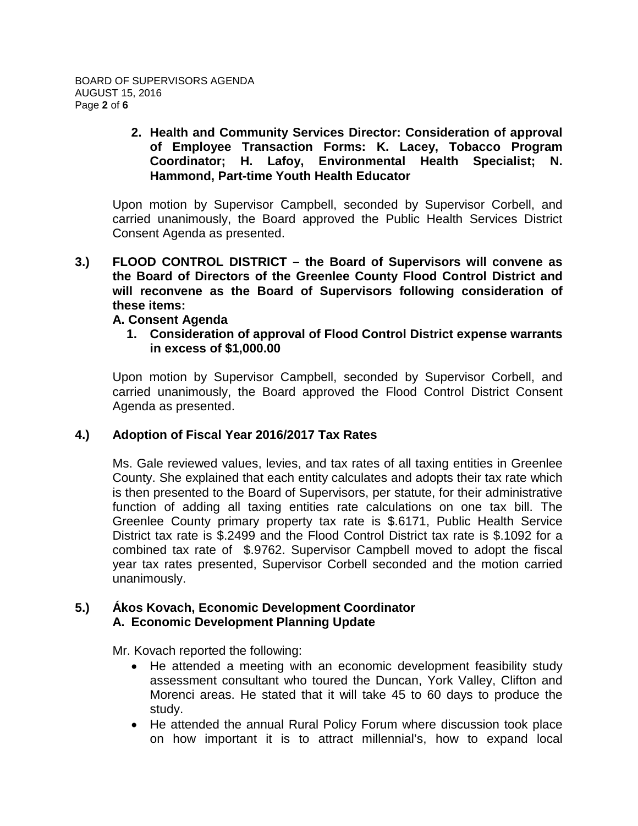### **2. Health and Community Services Director: Consideration of approval of Employee Transaction Forms: K. Lacey, Tobacco Program Coordinator; H. Lafoy, Environmental Health Specialist; N. Hammond, Part-time Youth Health Educator**

Upon motion by Supervisor Campbell, seconded by Supervisor Corbell, and carried unanimously, the Board approved the Public Health Services District Consent Agenda as presented.

**3.) FLOOD CONTROL DISTRICT – the Board of Supervisors will convene as the Board of Directors of the Greenlee County Flood Control District and will reconvene as the Board of Supervisors following consideration of these items:**

# **A. Consent Agenda**

**1. Consideration of approval of Flood Control District expense warrants in excess of \$1,000.00**

Upon motion by Supervisor Campbell, seconded by Supervisor Corbell, and carried unanimously, the Board approved the Flood Control District Consent Agenda as presented.

# **4.) Adoption of Fiscal Year 2016/2017 Tax Rates**

Ms. Gale reviewed values, levies, and tax rates of all taxing entities in Greenlee County. She explained that each entity calculates and adopts their tax rate which is then presented to the Board of Supervisors, per statute, for their administrative function of adding all taxing entities rate calculations on one tax bill. The Greenlee County primary property tax rate is \$.6171, Public Health Service District tax rate is \$.2499 and the Flood Control District tax rate is \$.1092 for a combined tax rate of \$.9762. Supervisor Campbell moved to adopt the fiscal year tax rates presented, Supervisor Corbell seconded and the motion carried unanimously.

# **5.) Ákos Kovach, Economic Development Coordinator A. Economic Development Planning Update**

Mr. Kovach reported the following:

- He attended a meeting with an economic development feasibility study assessment consultant who toured the Duncan, York Valley, Clifton and Morenci areas. He stated that it will take 45 to 60 days to produce the study.
- He attended the annual Rural Policy Forum where discussion took place on how important it is to attract millennial's, how to expand local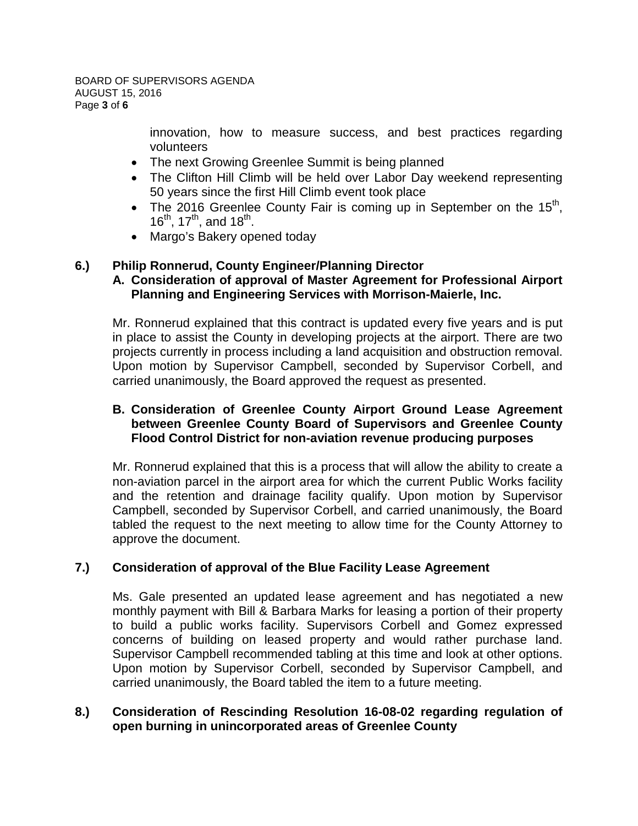innovation, how to measure success, and best practices regarding volunteers

- The next Growing Greenlee Summit is being planned
- The Clifton Hill Climb will be held over Labor Day weekend representing 50 years since the first Hill Climb event took place
- The 2016 Greenlee County Fair is coming up in September on the  $15<sup>th</sup>$ ,  $16^{th}$ ,  $17^{th}$ , and  $18^{th}$ .
- Margo's Bakery opened today

# **6.) Philip Ronnerud, County Engineer/Planning Director**

# **A. Consideration of approval of Master Agreement for Professional Airport Planning and Engineering Services with Morrison-Maierle, Inc.**

Mr. Ronnerud explained that this contract is updated every five years and is put in place to assist the County in developing projects at the airport. There are two projects currently in process including a land acquisition and obstruction removal. Upon motion by Supervisor Campbell, seconded by Supervisor Corbell, and carried unanimously, the Board approved the request as presented.

# **B. Consideration of Greenlee County Airport Ground Lease Agreement between Greenlee County Board of Supervisors and Greenlee County Flood Control District for non-aviation revenue producing purposes**

Mr. Ronnerud explained that this is a process that will allow the ability to create a non-aviation parcel in the airport area for which the current Public Works facility and the retention and drainage facility qualify. Upon motion by Supervisor Campbell, seconded by Supervisor Corbell, and carried unanimously, the Board tabled the request to the next meeting to allow time for the County Attorney to approve the document.

# **7.) Consideration of approval of the Blue Facility Lease Agreement**

Ms. Gale presented an updated lease agreement and has negotiated a new monthly payment with Bill & Barbara Marks for leasing a portion of their property to build a public works facility. Supervisors Corbell and Gomez expressed concerns of building on leased property and would rather purchase land. Supervisor Campbell recommended tabling at this time and look at other options. Upon motion by Supervisor Corbell, seconded by Supervisor Campbell, and carried unanimously, the Board tabled the item to a future meeting.

# **8.) Consideration of Rescinding Resolution 16-08-02 regarding regulation of open burning in unincorporated areas of Greenlee County**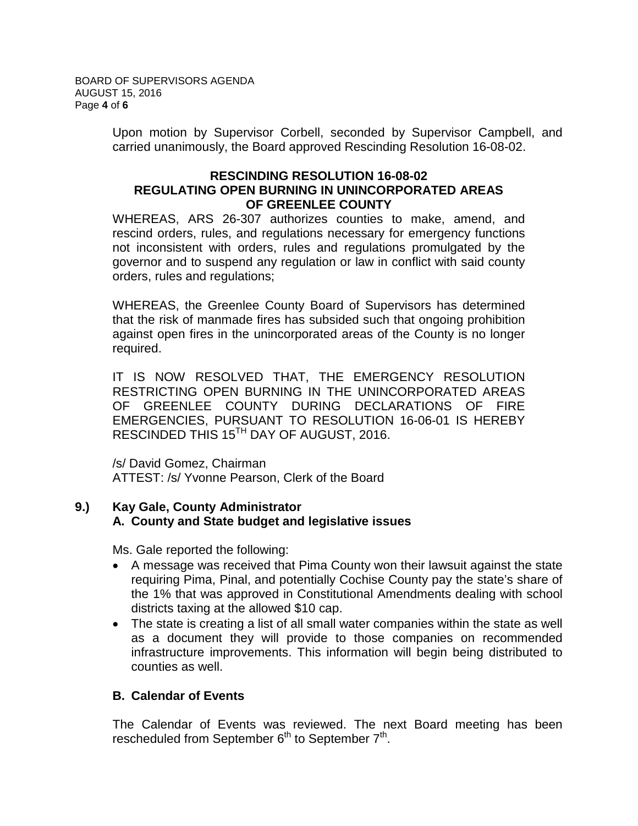Upon motion by Supervisor Corbell, seconded by Supervisor Campbell, and carried unanimously, the Board approved Rescinding Resolution 16-08-02.

### **RESCINDING RESOLUTION 16-08-02 REGULATING OPEN BURNING IN UNINCORPORATED AREAS OF GREENLEE COUNTY**

WHEREAS, ARS 26-307 authorizes counties to make, amend, and rescind orders, rules, and regulations necessary for emergency functions not inconsistent with orders, rules and regulations promulgated by the governor and to suspend any regulation or law in conflict with said county orders, rules and regulations;

WHEREAS, the Greenlee County Board of Supervisors has determined that the risk of manmade fires has subsided such that ongoing prohibition against open fires in the unincorporated areas of the County is no longer required.

IT IS NOW RESOLVED THAT, THE EMERGENCY RESOLUTION RESTRICTING OPEN BURNING IN THE UNINCORPORATED AREAS OF GREENLEE COUNTY DURING DECLARATIONS OF FIRE EMERGENCIES, PURSUANT TO RESOLUTION 16-06-01 IS HEREBY RESCINDED THIS 15<sup>TH</sup> DAY OF AUGUST, 2016.

/s/ David Gomez, Chairman ATTEST: /s/ Yvonne Pearson, Clerk of the Board

# **9.) Kay Gale, County Administrator A. County and State budget and legislative issues**

Ms. Gale reported the following:

- A message was received that Pima County won their lawsuit against the state requiring Pima, Pinal, and potentially Cochise County pay the state's share of the 1% that was approved in Constitutional Amendments dealing with school districts taxing at the allowed \$10 cap.
- The state is creating a list of all small water companies within the state as well as a document they will provide to those companies on recommended infrastructure improvements. This information will begin being distributed to counties as well.

# **B. Calendar of Events**

The Calendar of Events was reviewed. The next Board meeting has been rescheduled from September  $6<sup>th</sup>$  to September  $7<sup>th</sup>$ .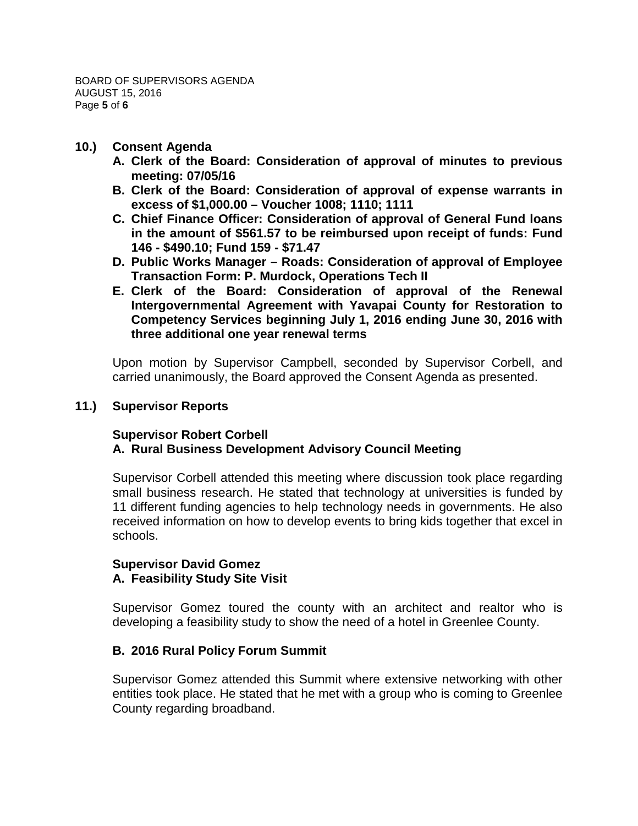### **10.) Consent Agenda**

- **A. Clerk of the Board: Consideration of approval of minutes to previous meeting: 07/05/16**
- **B. Clerk of the Board: Consideration of approval of expense warrants in excess of \$1,000.00 – Voucher 1008; 1110; 1111**
- **C. Chief Finance Officer: Consideration of approval of General Fund loans in the amount of \$561.57 to be reimbursed upon receipt of funds: Fund 146 - \$490.10; Fund 159 - \$71.47**
- **D. Public Works Manager – Roads: Consideration of approval of Employee Transaction Form: P. Murdock, Operations Tech II**
- **E. Clerk of the Board: Consideration of approval of the Renewal Intergovernmental Agreement with Yavapai County for Restoration to Competency Services beginning July 1, 2016 ending June 30, 2016 with three additional one year renewal terms**

Upon motion by Supervisor Campbell, seconded by Supervisor Corbell, and carried unanimously, the Board approved the Consent Agenda as presented.

### **11.) Supervisor Reports**

### **Supervisor Robert Corbell A. Rural Business Development Advisory Council Meeting**

Supervisor Corbell attended this meeting where discussion took place regarding small business research. He stated that technology at universities is funded by 11 different funding agencies to help technology needs in governments. He also received information on how to develop events to bring kids together that excel in schools.

#### **Supervisor David Gomez A. Feasibility Study Site Visit**

Supervisor Gomez toured the county with an architect and realtor who is developing a feasibility study to show the need of a hotel in Greenlee County.

# **B. 2016 Rural Policy Forum Summit**

Supervisor Gomez attended this Summit where extensive networking with other entities took place. He stated that he met with a group who is coming to Greenlee County regarding broadband.